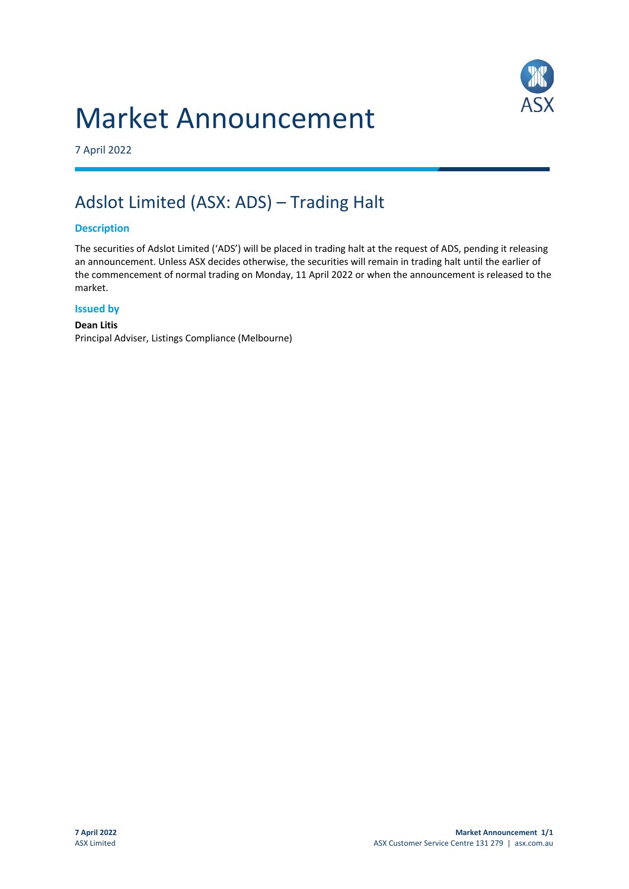## Market Announcement



7 April 2022

### Adslot Limited (ASX: ADS) – Trading Halt

#### **Description**

The securities of Adslot Limited ('ADS') will be placed in trading halt at the request of ADS, pending it releasing an announcement. Unless ASX decides otherwise, the securities will remain in trading halt until the earlier of the commencement of normal trading on Monday, 11 April 2022 or when the announcement is released to the market.

#### **Issued by**

#### **Dean Litis** Principal Adviser, Listings Compliance (Melbourne)